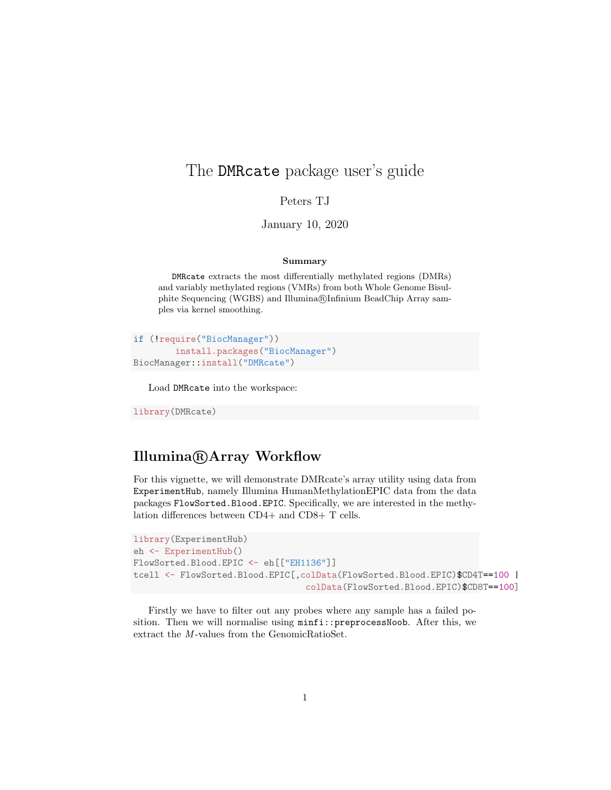# The DMRcate package user's guide

Peters TJ

January 10, 2020

#### Summary

DMRcate extracts the most differentially methylated regions (DMRs) and variably methylated regions (VMRs) from both Whole Genome Bisulphite Sequencing (WGBS) and Illumina®Infinium BeadChip Array samples via kernel smoothing.

```
if (!require("BiocManager"))
        install.packages("BiocManager")
BiocManager::install("DMRcate")
```
Load DMRcate into the workspace:

library(DMRcate)

### Illumina <sup>R</sup> Array Workflow

For this vignette, we will demonstrate DMRcate's array utility using data from ExperimentHub, namely Illumina HumanMethylationEPIC data from the data packages FlowSorted.Blood.EPIC. Specifically, we are interested in the methylation differences between CD4+ and CD8+ T cells.

```
library(ExperimentHub)
eh <- ExperimentHub()
FlowSorted.Blood.EPIC <- eh[["EH1136"]]
tcell <- FlowSorted.Blood.EPIC[,colData(FlowSorted.Blood.EPIC)$CD4T==100 |
                                 colData(FlowSorted.Blood.EPIC)$CD8T==100]
```
Firstly we have to filter out any probes where any sample has a failed position. Then we will normalise using  $minif$ ::preprocessNoob. After this, we extract the M-values from the GenomicRatioSet.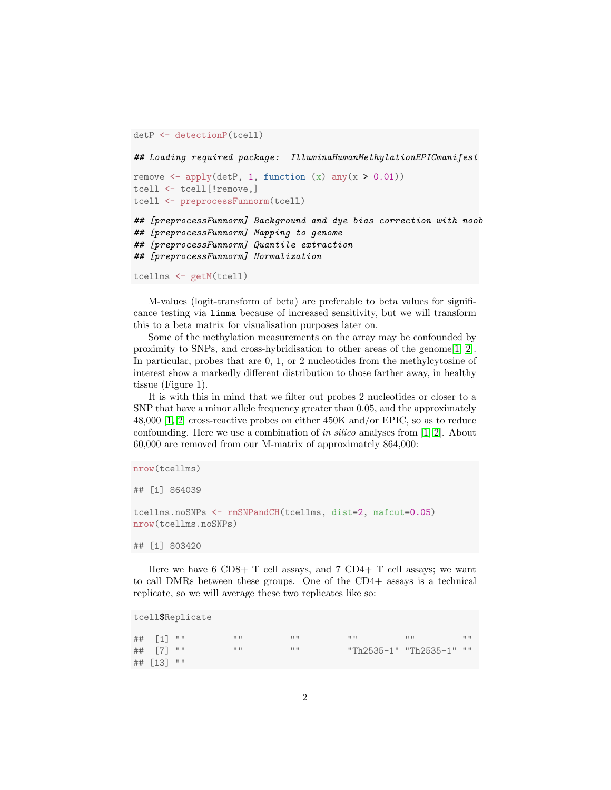```
detP <- detectionP(tcell)
## Loading required package: IlluminaHumanMethylationEPICmanifest
remove \leq apply(detP, 1, function (x) any(x > 0.01))
tcell <- tcell[!remove,]
tcell <- preprocessFunnorm(tcell)
## [preprocessFunnorm] Background and dye bias correction with noob
## [preprocessFunnorm] Mapping to genome
## [preprocessFunnorm] Quantile extraction
## [preprocessFunnorm] Normalization
tcellms <- getM(tcell)
```
M-values (logit-transform of beta) are preferable to beta values for significance testing via limma because of increased sensitivity, but we will transform this to a beta matrix for visualisation purposes later on.

Some of the methylation measurements on the array may be confounded by proximity to SNPs, and cross-hybridisation to other areas of the genome $[1, 2]$  $[1, 2]$ . In particular, probes that are 0, 1, or 2 nucleotides from the methylcytosine of interest show a markedly different distribution to those farther away, in healthy tissue (Figure 1).

It is with this in mind that we filter out probes 2 nucleotides or closer to a SNP that have a minor allele frequency greater than 0.05, and the approximately 48,000 [\[1,](#page-24-0) [2\]](#page-24-1) cross-reactive probes on either 450K and/or EPIC, so as to reduce confounding. Here we use a combination of in silico analyses from [\[1,](#page-24-0) [2\]](#page-24-1). About 60,000 are removed from our M-matrix of approximately 864,000:

```
nrow(tcellms)
## [1] 864039
tcellms.noSNPs <- rmSNPandCH(tcellms, dist=2, mafcut=0.05)
nrow(tcellms.noSNPs)
```
## [1] 803420

Here we have  $6 \text{ CD8+ T cell assays}$ , and  $7 \text{ CD4+ T cell assays}$ ; we want to call DMRs between these groups. One of the CD4+ assays is a technical replicate, so we will average these two replicates like so:

```
tcell$Replicate
## [1] "" "" "" "" "" ""
## [7] "" "" "" "Th2535-1" "Th2535-1" ""
## [13] ""
```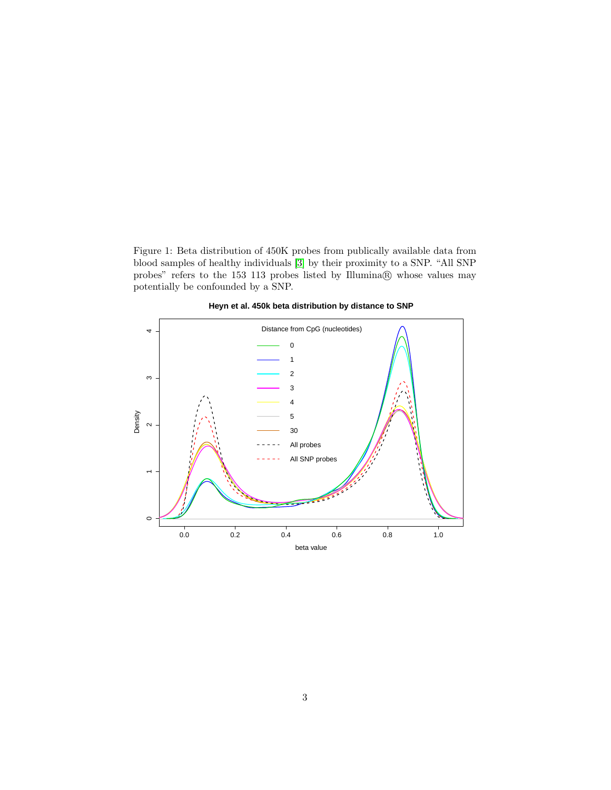Figure 1: Beta distribution of 450K probes from publically available data from blood samples of healthy individuals [\[3\]](#page-24-2) by their proximity to a SNP. "All SNP probes" refers to the 153 113 probes listed by Illumina® whose values may potentially be confounded by a SNP.



**Heyn et al. 450k beta distribution by distance to SNP**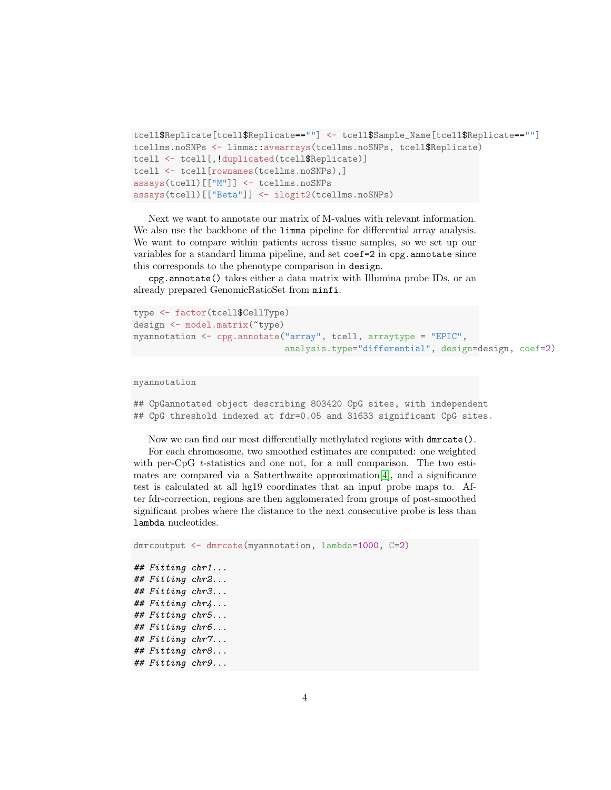```
tcell$Replicate[tcell$Replicate==""] <- tcell$Sample_Name[tcell$Replicate==""]
tcellms.noSNPs <- limma::avearrays(tcellms.noSNPs, tcell$Replicate)
tcell <- tcell[,!duplicated(tcell$Replicate)]
tcell <- tcell[rownames(tcellms.noSNPs),]
assays(tcell)[["M"]] <- tcellms.noSNPs
assays(tcell)[["Beta"]] <- ilogit2(tcellms.noSNPs)
```
Next we want to annotate our matrix of M-values with relevant information. We also use the backbone of the limma pipeline for differential array analysis. We want to compare within patients across tissue samples, so we set up our variables for a standard limma pipeline, and set coef=2 in cpg.annotate since this corresponds to the phenotype comparison in design.

cpg.annotate() takes either a data matrix with Illumina probe IDs, or an already prepared GenomicRatioSet from minfi.

```
type <- factor(tcell$CellType)
design <- model.matrix(~type)
myannotation <- cpg.annotate("array", tcell, arraytype = "EPIC",
                             analysis.type="differential", design=design, coef=2)
```
#### myannotation

## CpGannotated object describing 803420 CpG sites, with independent ## CpG threshold indexed at fdr=0.05 and 31633 significant CpG sites.

Now we can find our most differentially methylated regions with dmrcate().

For each chromosome, two smoothed estimates are computed: one weighted with per-CpG  $t$ -statistics and one not, for a null comparison. The two estimates are compared via a Satterthwaite approximation[\[4\]](#page-24-3), and a significance test is calculated at all hg19 coordinates that an input probe maps to. After fdr-correction, regions are then agglomerated from groups of post-smoothed significant probes where the distance to the next consecutive probe is less than lambda nucleotides.

```
dmrcoutput <- dmrcate(myannotation, lambda=1000, C=2)
## Fitting chr1...
## Fitting chr2...
## Fitting chr3...
## Fitting chr4...
## Fitting chr5...
## Fitting chr6...
## Fitting chr7...
## Fitting chr8...
## Fitting chr9...
```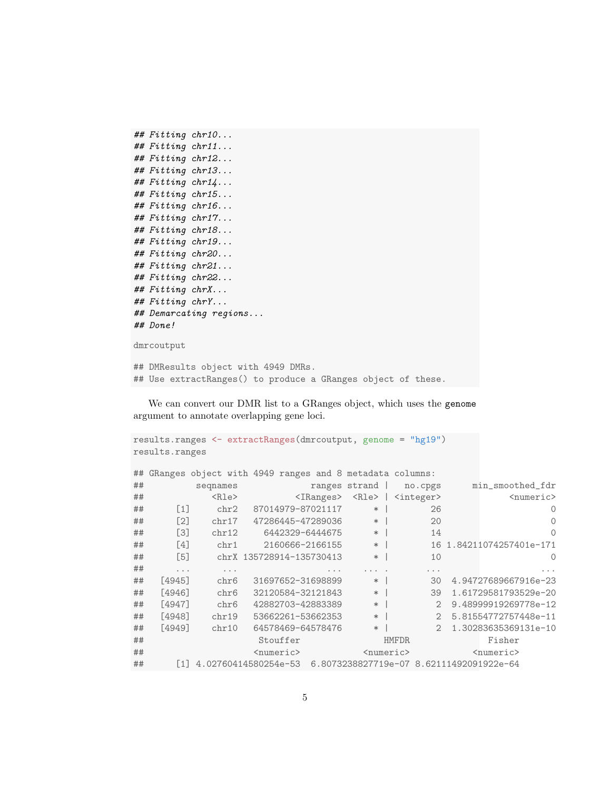```
## Fitting chr10...
## Fitting chr11...
## Fitting chr12...
## Fitting chr13...
## Fitting chr14...
## Fitting chr15...
## Fitting chr16...
## Fitting chr17...
## Fitting chr18...
## Fitting chr19...
## Fitting chr20...
## Fitting chr21...
## Fitting chr22...
## Fitting chrX...
## Fitting chrY...
## Demarcating regions...
## Done!
dmrcoutput
## DMResults object with 4949 DMRs.
## Use extractRanges() to produce a GRanges object of these.
```
We can convert our DMR list to a GRanges object, which uses the genome argument to annotate overlapping gene loci.

```
results.ranges <- extractRanges(dmrcoutput, genome = "hg19")
results.ranges
## GRanges object with 4949 ranges and 8 metadata columns:
## seqnames ranges strand | no.cpgs min_smoothed_fdr
## <Rle> <IRanges> <Rle> | <integer> <numeric>
## [1] chr2 87014979-87021117 * | 26 0
## [2] chr17 47286445-47289036 * | 20 0
## [3] chr12 6442329-6444675 * | 14 0
## [4] chr1 2160666-2166155 * | 16 1.84211074257401e-171
## [5] chrX 135728914-135730413 * | 10 0
## ... ... ... ... . ... ...
## [4945] chr6 31697652-31698899 * | 30 4.94727689667916e-23
## [4946] chr6 32120584-32121843 * | 39 1.61729581793529e-20
## [4947] chr6 42882703-42883389 * | 2 9.48999919269778e-12
## [4948] chr19 53662261-53662353 * | 2 5.81554772757448e-11
## [4949] chr10 64578469-64578476 * | 2 1.30283635369131e-10
## Stouffer HMFDR Fisher
## <numeric> <numeric> <numeric>
## [1] 4.02760414580254e-53 6.8073238827719e-07 8.62111492091922e-64
```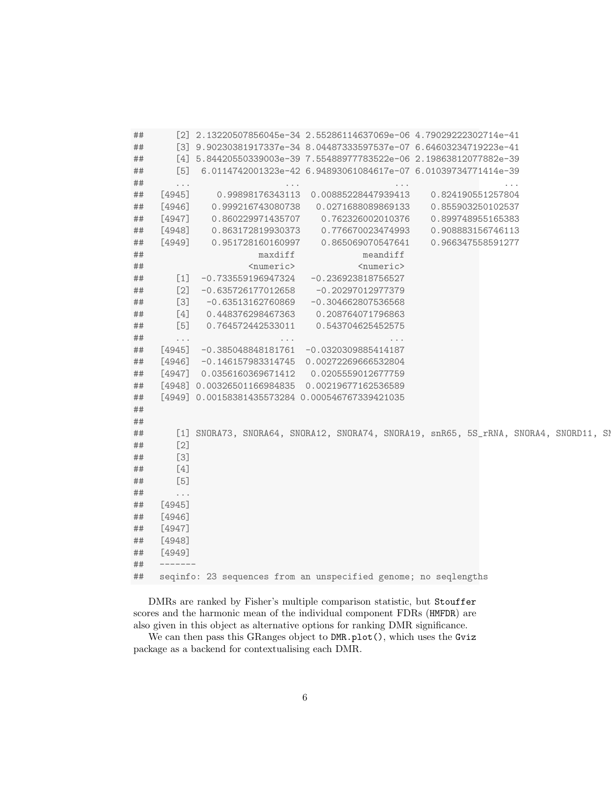| ##      |                                  | [2] 2.13220507856045e-34 2.55286114637069e-06 4.79029222302714e-41                   |                                                                 |                   |                      |
|---------|----------------------------------|--------------------------------------------------------------------------------------|-----------------------------------------------------------------|-------------------|----------------------|
| ##      |                                  | [3] 9.90230381917337e-34 8.04487333597537e-07 6.64603234719223e-41                   |                                                                 |                   |                      |
| ##      |                                  | [4] 5.84420550339003e-39 7.55488977783522e-06 2.19863812077882e-39                   |                                                                 |                   |                      |
| ##      | [5]                              |                                                                                      | 6.0114742001323e-42  6.94893061084617e-07  6.01039734771414e-39 |                   |                      |
| ##      | $\sim$ $\sim$ $\sim$             | $\sim$ $\sim$ $\sim$                                                                 | $\sim$ 100 $\sim$ 100 $\sim$                                    |                   | $\sim$ $\sim$ $\sim$ |
| ##      | $[4945]$                         | 0.99898176343113                                                                     | 0.00885228447939413                                             | 0.824190551257804 |                      |
| ##      | $[4946]$                         | 0.999216743080738                                                                    | 0.0271688089869133                                              | 0.855903250102537 |                      |
| ##      | $[4947]$                         | 0.860229971435707                                                                    | 0.762326002010376                                               | 0.899748955165383 |                      |
| ##      | $[4948]$                         | 0.863172819930373                                                                    | 0.776670023474993                                               | 0.908883156746113 |                      |
|         | $[4949]$                         | 0.951728160160997                                                                    | 0.865069070547641                                               | 0.966347558591277 |                      |
| ##      |                                  |                                                                                      |                                                                 |                   |                      |
| ##      |                                  | maxdiff                                                                              | meandiff                                                        |                   |                      |
| ##      |                                  | <numeric></numeric>                                                                  | <numeric></numeric>                                             |                   |                      |
| ##      | $\lceil 1 \rceil$                | $-0.733559196947324$                                                                 | $-0.236923818756527$                                            |                   |                      |
| ##      | $[2]$                            | $-0.635726177012658$                                                                 | $-0.20297012977379$                                             |                   |                      |
| ##      | $[3]$                            | $-0.63513162760869$                                                                  | $-0.304662807536568$                                            |                   |                      |
| ##      | $[4]$                            | 0.448376298467363                                                                    | 0.208764071796863                                               |                   |                      |
| ##      | $[5]$                            | 0.764572442533011                                                                    | 0.543704625452575                                               |                   |                      |
| ##      | $\sim$ $\sim$ $\sim$             | $\sim$ 100 $\sim$ 100 $\sim$                                                         | $\rightarrow$ $\rightarrow$ $\rightarrow$                       |                   |                      |
| ##      | $[4945]$                         | $-0.385048848181761$                                                                 | $-0.0320309885414187$                                           |                   |                      |
| ##      | $[4946]$                         | -0.146157983314745  0.00272269666532804                                              |                                                                 |                   |                      |
| ##      | $[4947]$                         | 0.0356160369671412                                                                   | 0.0205559012677759                                              |                   |                      |
| ##      |                                  | [4948] 0.00326501166984835 0.00219677162536589                                       |                                                                 |                   |                      |
| ##      |                                  | [4949] 0.00158381435573284 0.000546767339421035                                      |                                                                 |                   |                      |
| ##      |                                  |                                                                                      |                                                                 |                   |                      |
| ##      |                                  |                                                                                      |                                                                 |                   |                      |
| $\# \#$ |                                  | [1] SNORA73, SNORA64, SNORA12, SNORA74, SNORA19, snR65, 5S_rRNA, SNORA4, SNORD11, SN |                                                                 |                   |                      |
| ##      | $[2]$                            |                                                                                      |                                                                 |                   |                      |
| $\# \#$ | $[3]$                            |                                                                                      |                                                                 |                   |                      |
| ##      | $[4]$                            |                                                                                      |                                                                 |                   |                      |
| ##      | $[5]$                            |                                                                                      |                                                                 |                   |                      |
| ##      |                                  |                                                                                      |                                                                 |                   |                      |
|         | $\sim$ $\sim$ $\sim$<br>$[4945]$ |                                                                                      |                                                                 |                   |                      |
| ##      |                                  |                                                                                      |                                                                 |                   |                      |
| ##      | $[4946]$                         |                                                                                      |                                                                 |                   |                      |
| ##      | $[4947]$                         |                                                                                      |                                                                 |                   |                      |
| ##      | [4948]                           |                                                                                      |                                                                 |                   |                      |
| ##      | $[4949]$                         |                                                                                      |                                                                 |                   |                      |
| ##      | $------$                         |                                                                                      |                                                                 |                   |                      |
| ##      |                                  | seqinfo: 23 sequences from an unspecified genome; no seqlengths                      |                                                                 |                   |                      |

DMRs are ranked by Fisher's multiple comparison statistic, but Stouffer scores and the harmonic mean of the individual component FDRs (HMFDR) are also given in this object as alternative options for ranking DMR significance.

We can then pass this GRanges object to DMR.plot(), which uses the Gviz package as a backend for contextualising each DMR.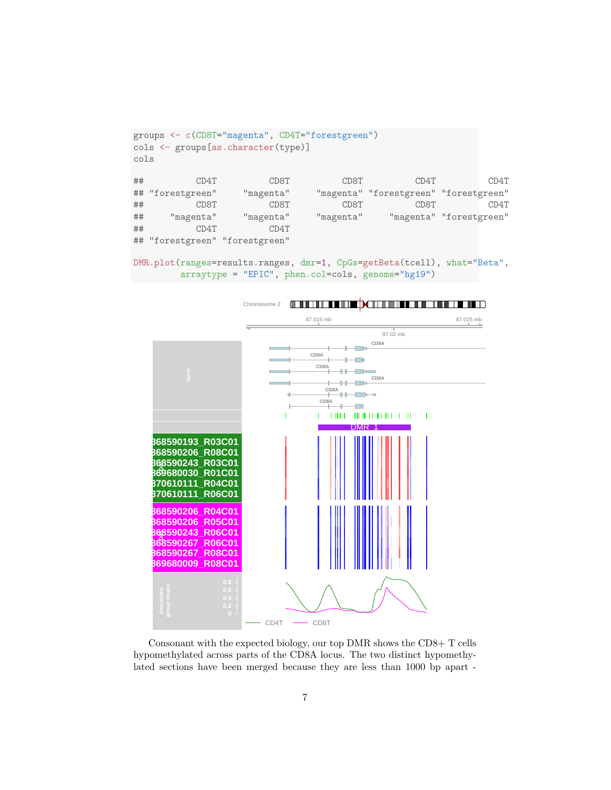```
groups <- c(CD8T="magenta", CD4T="forestgreen")
cols <- groups[as.character(type)]
cols
## CD4T CD8T CD8T CD4T CD4T
## "forestgreen" "magenta" "magenta" "forestgreen" "forestgreen"
## CD8T CD8T CD8T CD8T CD4T
## "magenta" "magenta" "magenta" "magenta" "forestgreen"
## CD4T CD4T
## "forestgreen" "forestgreen"
```

```
DMR.plot(ranges=results.ranges, dmr=1, CpGs=getBeta(tcell), what="Beta",
        arraytype = "EPIC", phen.col=cols, genome="hg19")
```


Consonant with the expected biology, our top DMR shows the CD8+ T cells hypomethylated across parts of the CD8A locus. The two distinct hypomethylated sections have been merged because they are less than 1000 bp apart -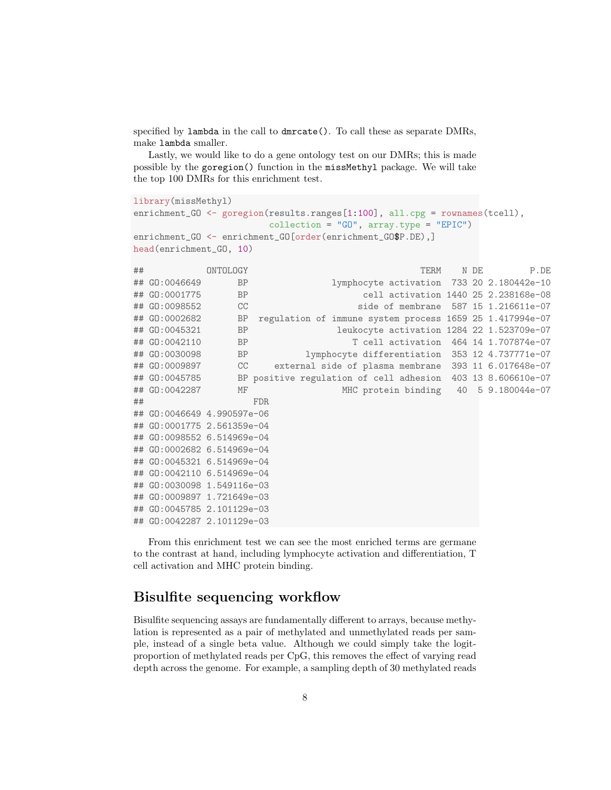specified by lambda in the call to dmrcate(). To call these as separate DMRs, make lambda smaller.

Lastly, we would like to do a gene ontology test on our DMRs; this is made possible by the goregion() function in the missMethyl package. We will take the top 100 DMRs for this enrichment test.

```
library(missMethyl)
enrichment_GO <- goregion(results.ranges[1:100], all.cpg = rownames(tcell),
                            \text{collection} = "GO", \text{ array-type} = "EPIC")enrichment_GO <- enrichment_GO[order(enrichment_GO$P.DE),]
head(enrichment_GO, 10)
```

| ## |                            | ONTOLOGY  |      |  |  | <b>TERM</b> | N DE | P.DE                                                        |
|----|----------------------------|-----------|------|--|--|-------------|------|-------------------------------------------------------------|
|    | ## GO:0046649              | <b>BP</b> |      |  |  |             |      | lymphocyte activation 733 20 2.180442e-10                   |
|    | ## GO:0001775              | <b>BP</b> |      |  |  |             |      | cell activation 1440 25 2.238168e-08                        |
|    | ## GO:0098552              | CC        |      |  |  |             |      | side of membrane 587 15 1.216611e-07                        |
|    | ## GO:0002682              | BP        |      |  |  |             |      | regulation of immune system process 1659 25 1.417994e-07    |
|    | ## GO:0045321              | <b>BP</b> |      |  |  |             |      | leukocyte activation 1284 22 1.523709e-07                   |
|    | ## GO:0042110              | BP        |      |  |  |             |      | T cell activation 464 14 1.707874e-07                       |
|    | ## GO:0030098              | BP        |      |  |  |             |      | lymphocyte differentiation 353 12 4.737771e-07              |
|    | ## GO:0009897              | <b>CC</b> |      |  |  |             |      | external side of plasma membrane 393 11 6.017648e-07        |
|    | ## GO:0045785              |           |      |  |  |             |      | BP positive regulation of cell adhesion 403 13 8.606610e-07 |
|    | ## GO:0042287              | MF        |      |  |  |             |      | MHC protein binding 40 5 9.180044e-07                       |
| ## |                            |           | FDR. |  |  |             |      |                                                             |
|    | ## GO:0046649 4.990597e-06 |           |      |  |  |             |      |                                                             |
|    | ## GO:0001775 2.561359e-04 |           |      |  |  |             |      |                                                             |
|    | ## GO:0098552 6.514969e-04 |           |      |  |  |             |      |                                                             |
|    | ## GO:0002682 6.514969e-04 |           |      |  |  |             |      |                                                             |
|    | ## GO:0045321 6.514969e-04 |           |      |  |  |             |      |                                                             |
|    | ## GO:0042110 6.514969e-04 |           |      |  |  |             |      |                                                             |
|    | ## GO:0030098 1.549116e-03 |           |      |  |  |             |      |                                                             |
|    | ## GO:0009897 1.721649e-03 |           |      |  |  |             |      |                                                             |
|    | ## GO:0045785 2.101129e-03 |           |      |  |  |             |      |                                                             |
|    | ## GO:0042287 2.101129e-03 |           |      |  |  |             |      |                                                             |

From this enrichment test we can see the most enriched terms are germane to the contrast at hand, including lymphocyte activation and differentiation, T cell activation and MHC protein binding.

### Bisulfite sequencing workflow

Bisulfite sequencing assays are fundamentally different to arrays, because methylation is represented as a pair of methylated and unmethylated reads per sample, instead of a single beta value. Although we could simply take the logitproportion of methylated reads per CpG, this removes the effect of varying read depth across the genome. For example, a sampling depth of 30 methylated reads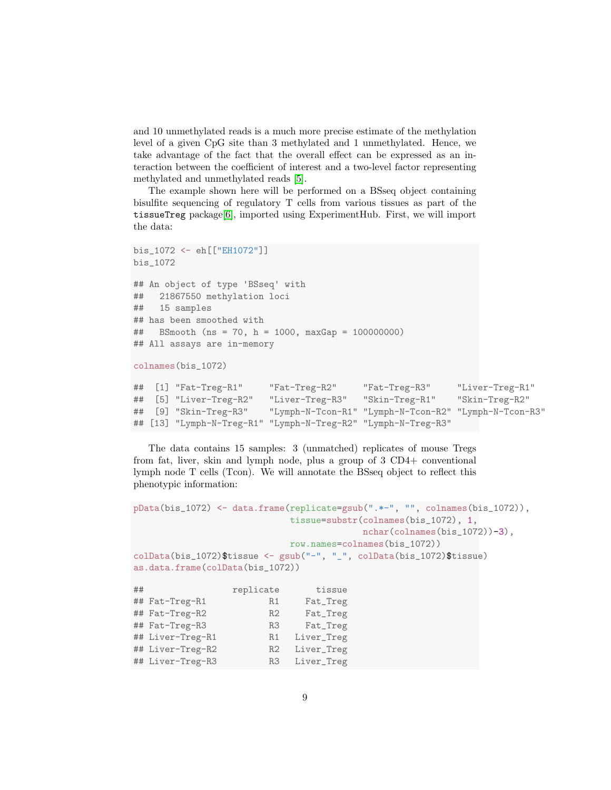and 10 unmethylated reads is a much more precise estimate of the methylation level of a given CpG site than 3 methylated and 1 unmethylated. Hence, we take advantage of the fact that the overall effect can be expressed as an interaction between the coefficient of interest and a two-level factor representing methylated and unmethylated reads [\[5\]](#page-24-4).

The example shown here will be performed on a BSseq object containing bisulfite sequencing of regulatory T cells from various tissues as part of the tissueTreg package[\[6\]](#page-24-5), imported using ExperimentHub. First, we will import the data:

```
bis_1072 <- eh[["EH1072"]]
bis_1072
## An object of type 'BSseq' with
## 21867550 methylation loci
## 15 samples
## has been smoothed with
## BSmooth (ns = 70, h = 1000, maxGap = 100000000)
## All assays are in-memory
colnames(bis_1072)
## [1] "Fat-Treg-R1" "Fat-Treg-R2" "Fat-Treg-R3" "Liver-Treg-R1"
## [5] "Liver-Treg-R2" "Liver-Treg-R3" "Skin-Treg-R1" "Skin-Treg-R2"
## [9] "Skin-Treg-R3" "Lymph-N-Tcon-R1" "Lymph-N-Tcon-R2" "Lymph-N-Tcon-R3"
```
The data contains 15 samples: 3 (unmatched) replicates of mouse Tregs from fat, liver, skin and lymph node, plus a group of 3 CD4+ conventional lymph node T cells (Tcon). We will annotate the BSseq object to reflect this phenotypic information:

## [13] "Lymph-N-Treg-R1" "Lymph-N-Treg-R2" "Lymph-N-Treg-R3"

```
pData(bis_1072) \leftarrow data.frame(replicate=gsub(".*-", "", columns(bis_1072)),tissue=substr(colnames(bis_1072), 1,
                                     nchar(colnames(bis_1072))-3),
                         row.names=colnames(bis_1072))
colData(bis_1072)$tissue <- gsub("-", "_", colData(bis_1072)$tissue)
as.data.frame(colData(bis_1072))
## replicate tissue
## Fat-Treg-R1 R1 Fat_Treg
## Fat-Treg-R2 R2 Fat_Treg
## Fat-Treg-R3 R3 Fat_Treg
## Liver-Treg-R1 R1 Liver_Treg
## Liver-Treg-R2 R2 Liver_Treg
## Liver-Treg-R3 R3 Liver_Treg
```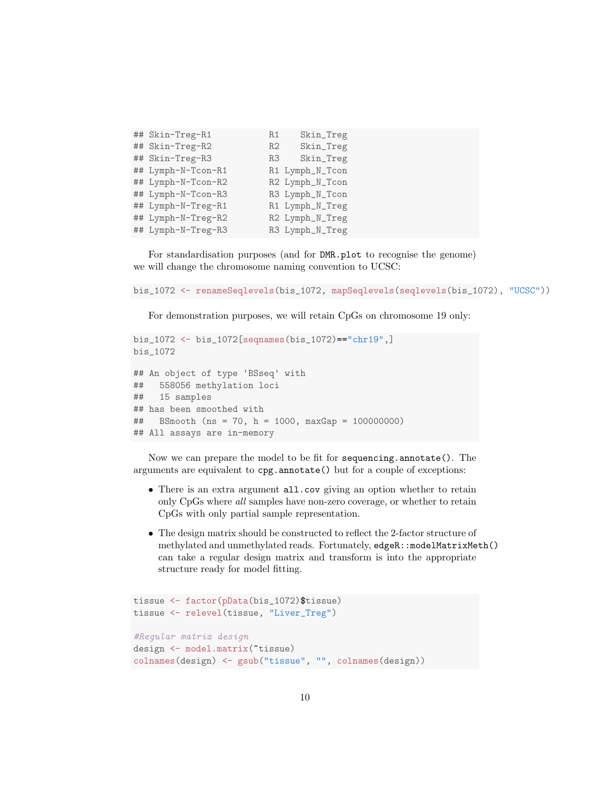| ## Skin-Treg-R1    | R1 | Skin_Treg       |  |
|--------------------|----|-----------------|--|
| ## Skin-Treg-R2    | R2 | Skin_Treg       |  |
| ## Skin-Treg-R3    | R3 | Skin_Treg       |  |
| ## Lymph-N-Tcon-R1 |    | R1 Lymph_N_Tcon |  |
| ## Lymph-N-Tcon-R2 |    | R2 Lymph_N_Tcon |  |
| ## Lymph-N-Tcon-R3 |    | R3 Lymph_N_Tcon |  |
| ## Lymph-N-Treg-R1 |    | R1 Lymph_N_Treg |  |
| ## Lymph-N-Treg-R2 |    | R2 Lymph_N_Treg |  |
| ## Lymph-N-Treg-R3 |    | R3 Lymph_N_Treg |  |

For standardisation purposes (and for DMR.plot to recognise the genome) we will change the chromosome naming convention to UCSC:

```
bis_1072 <- renameSeqlevels(bis_1072, mapSeqlevels(seqlevels(bis_1072), "UCSC"))
```
For demonstration purposes, we will retain CpGs on chromosome 19 only:

```
bis_1072 <- bis_1072[seqnames(bis_1072)=="chr19",]
bis_1072
## An object of type 'BSseq' with
## 558056 methylation loci
## 15 samples
## has been smoothed with
## BSmooth (ns = 70, h = 1000, maxGap = 100000000)
## All assays are in-memory
```
Now we can prepare the model to be fit for sequencing.annotate(). The arguments are equivalent to cpg.annotate() but for a couple of exceptions:

- There is an extra argument all.cov giving an option whether to retain only CpGs where all samples have non-zero coverage, or whether to retain CpGs with only partial sample representation.
- The design matrix should be constructed to reflect the 2-factor structure of methylated and unmethylated reads. Fortunately, edgeR::modelMatrixMeth() can take a regular design matrix and transform is into the appropriate structure ready for model fitting.

```
tissue <- factor(pData(bis_1072)$tissue)
tissue <- relevel(tissue, "Liver_Treg")
#Regular matrix design
design <- model.matrix(~tissue)
colnames(design) <- gsub("tissue", "", colnames(design))
```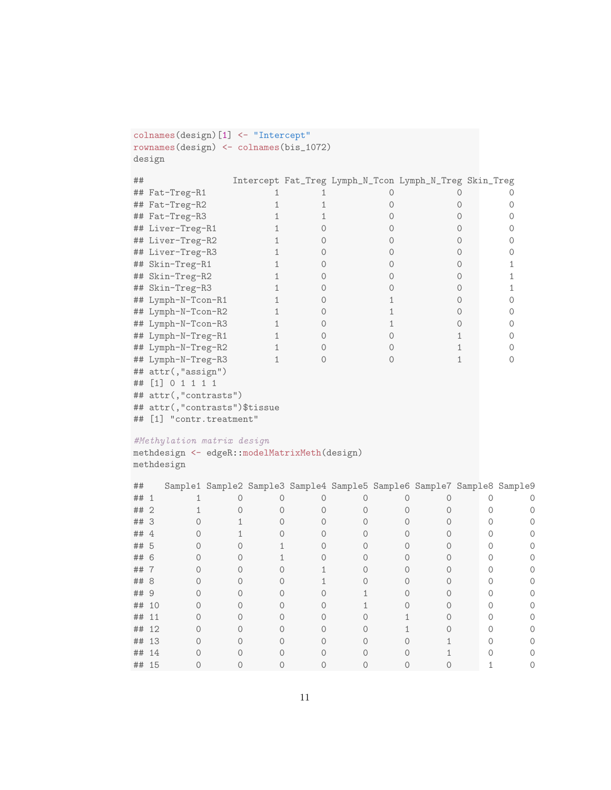```
colnames(design)[1] <- "Intercept"
rownames(design) <- colnames(bis_1072)
design
```

| ## |                     |  | Intercept Fat_Treg Lymph_N_Tcon Lymph_N_Treg Skin_Treg |  |
|----|---------------------|--|--------------------------------------------------------|--|
|    | ## Fat-Treg-R1      |  |                                                        |  |
|    | ## Fat-Treg-R2      |  |                                                        |  |
|    | ## Fat-Treg-R3      |  |                                                        |  |
|    | ## Liver-Treg-R1    |  |                                                        |  |
|    | ## Liver-Treg-R2    |  |                                                        |  |
|    | ## Liver-Treg-R3    |  |                                                        |  |
|    | ## Skin-Treg-R1     |  |                                                        |  |
|    | ## Skin-Treg-R2     |  |                                                        |  |
|    | ## Skin-Treg-R3     |  |                                                        |  |
|    | ## Lymph-N-Tcon-R1  |  |                                                        |  |
|    | ## Lymph-N-Tcon-R2  |  |                                                        |  |
|    | ## Lymph-N-Tcon-R3  |  |                                                        |  |
|    | ## Lymph-N-Treg-R1  |  |                                                        |  |
|    | ## Lymph-N-Treg-R2  |  |                                                        |  |
|    | ## Lymph-N-Treg-R3  |  |                                                        |  |
|    | ## attr(, "assign") |  |                                                        |  |
|    |                     |  |                                                        |  |

## [1] 0 1 1 1 1 ## attr(,"contrasts")

## attr(,"contrasts")\$tissue

## [1] "contr.treatment"

### #Methylation matrix design

methdesign <- edgeR::modelMatrixMeth(design) methdesign

| ##    |                |  |  |  | Sample1 Sample2 Sample3 Sample4 Sample5 Sample6 Sample7 Sample8 Sample9 |  |
|-------|----------------|--|--|--|-------------------------------------------------------------------------|--|
| ##    | 1              |  |  |  |                                                                         |  |
| ##    | $\overline{2}$ |  |  |  |                                                                         |  |
| ## 3  |                |  |  |  |                                                                         |  |
| ##    | $\overline{4}$ |  |  |  |                                                                         |  |
| ## 5  |                |  |  |  |                                                                         |  |
| ## 6  |                |  |  |  |                                                                         |  |
| ##    |                |  |  |  |                                                                         |  |
| ## 8  |                |  |  |  |                                                                         |  |
| ## 9  |                |  |  |  |                                                                         |  |
| ##    | 10             |  |  |  |                                                                         |  |
| ##    | 11             |  |  |  |                                                                         |  |
| ## 12 |                |  |  |  |                                                                         |  |
| ##    | 13             |  |  |  |                                                                         |  |
| ##    | 14             |  |  |  |                                                                         |  |
| ## 15 |                |  |  |  |                                                                         |  |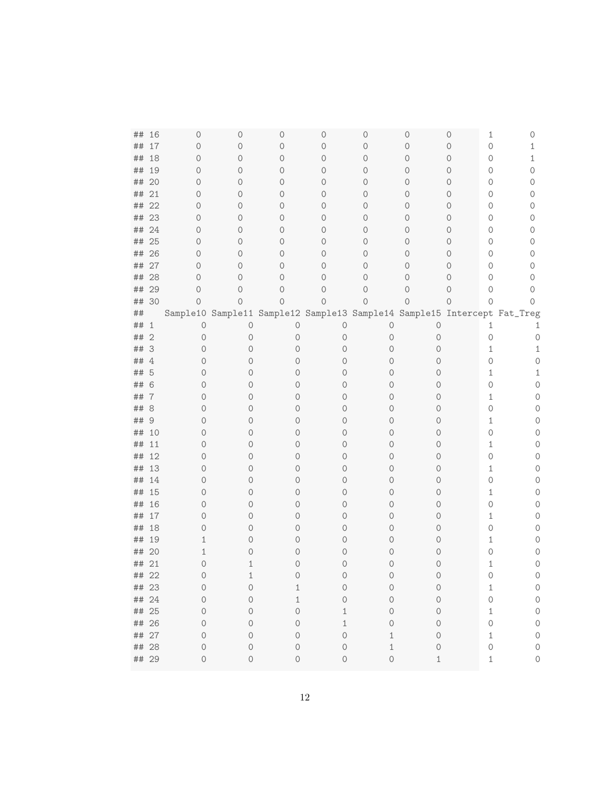| ##       | 16          | 0      | 0            | 0              | 0       | 0       | 0           | 1<br>0                                                                   | 0        |
|----------|-------------|--------|--------------|----------------|---------|---------|-------------|--------------------------------------------------------------------------|----------|
| ##       | 17          | 0      | 0            | 0              | 0       | 0       | 0           | $\circ$<br>0                                                             | 1        |
| ##       | 18          | 0      | 0            | 0              | 0       | $\circ$ | 0           | $\circ$<br>0                                                             | 1        |
| ##       | 19          | 0      | 0            | $\circ$        | 0       | 0       | $\circ$     | $\circ$<br>0                                                             | 0        |
| ##       | 20          | 0      | 0            | $\circ$        | 0       | 0       | $\circ$     | $\circ$<br>0                                                             | 0        |
| ##       | 21          | 0      | $\circ$      | $\circ$        | 0       | 0       | $\circ$     | $\circ$<br>0                                                             | 0        |
| ##       | 22          | 0      | $\circ$      | $\circ$        | 0       | 0       | $\circ$     | $\circ$<br>0                                                             | 0        |
| ##       | 23          | 0      | $\circ$      | $\circ$        | 0       | 0       | $\circ$     | $\circ$<br>0                                                             | 0        |
| ##       | 24          | 0      | $\circ$      | $\circ$        | 0       | 0       | $\circ$     | 0<br>$\circ$                                                             | 0        |
| ##       | 25          | 0      | $\circ$      | $\circ$        | 0       | 0       | 0           | $\circ$<br>0                                                             | 0        |
| ##       | 26          | 0      | 0            | 0              | 0       | 0       | 0           | $\circ$<br>0                                                             | 0        |
| ##       | 27          | 0      | 0            | 0              | 0       | 0       | 0           | 0<br>0                                                                   | 0        |
| ##       | 28          | 0      | 0            | 0              | 0       | 0       | 0           | 0<br>0                                                                   | 0        |
| ##       | 29          | 0      | 0            | 0              | 0       | 0       | 0           | 0<br>0                                                                   | 0        |
| ##       | 30          | 0      | $\circ$      | $\overline{O}$ | 0       | $\circ$ | 0           | $\circ$<br>0                                                             | 0        |
| ##       |             |        |              |                |         |         |             | Sample10 Sample11 Sample12 Sample13 Sample14 Sample15 Intercept Fat_Treg |          |
| ##       | 1           | 0      | $\circ$      | 0              | $\circ$ | 0       | 0           | 1                                                                        | 1        |
| ##       | $\mathbf 2$ | 0      | 0            | 0              | 0       | 0       | 0           | 0                                                                        | $\circ$  |
| ##       | 3           | 0      | $\circ$      | 0              | 0       | 0       | 0           | $\mathbf{1}$                                                             | 1        |
| ##       | 4           | 0      | 0            | 0              | 0       | 0       | 0           | 0                                                                        | 0        |
| ##       | 5           | 0      | 0            | 0              | 0       | 0       | 0           | $\mathbf{1}$                                                             | 1        |
| ##       | 6           | 0      | 0            | 0              | 0       | 0       | 0           | 0                                                                        | 0        |
| ##       | 7           | 0      | 0            | 0              | 0       | 0       | 0           | $\mathbf{1}$                                                             | 0        |
| ##       | 8           | 0      | 0            | 0              | 0       | 0       | 0           | 0                                                                        | 0        |
| ##       | 9           | 0      | 0            | 0              | 0       | 0       | 0           | $\mathbf{1}$                                                             | 0        |
| ##       | 10          | 0      | 0            | 0              | 0       | 0       | 0           | 0                                                                        | 0        |
| ##<br>## | 11<br>12    | 0<br>0 | 0<br>0       | 0<br>0         | 0<br>0  | 0<br>0  | 0<br>0      | $\mathbf{1}$<br>0                                                        | 0<br>0   |
| ##       | 13          | 0      | 0            | 0              | 0       | 0       | 0           | 1                                                                        | 0        |
| ##       | 14          | 0      | 0            | 0              | 0       | 0       | 0           | 0                                                                        | 0        |
| ##       | 15          | 0      | 0            | 0              | 0       | 0       | 0           | 1                                                                        | 0        |
| ##       | 16          | 0      | 0            | 0              | 0       | 0       | 0           | 0                                                                        | 0        |
| ##       | 17          | 0      | 0            | 0              | 0       | 0       | 0           | 1                                                                        | 0        |
| ##       | 18          | 0      | 0            | 0              | 0       | 0       | 0           | 0                                                                        | 0        |
| ##       | 19          | 1      | 0            | 0              | Ω       | 0       | 0           | 1                                                                        | 0        |
| ##       | 20          | 1      | 0            | 0              | Ω       | 0       | 0           | 0                                                                        | 0        |
| ##       | 21          | 0      | $\mathbf{1}$ | 0              | 0       | 0       | 0           | $\mathbf{1}$                                                             | 0        |
| ##       | 22          | 0      | 1            | 0              | 0       | 0       | $\Omega$    | $\bigcirc$                                                               | $\Omega$ |
| ## 23    |             | 0      | $\circ$      | 1              | 0       | 0       | 0           | $\mathbf{1}$                                                             | $\circ$  |
| ## 24    |             | 0      | $\circ$      | 1              | 0       | 0       | $\mathbf 0$ | $\bigcirc$                                                               | $\circ$  |
| ## 25    |             | 0      | 0            | 0              | 1       | 0       | 0           | $\mathbf{1}$                                                             | $\circ$  |
| ## 26    |             | 0      | 0            | 0              | 1       | 0       | 0           | $\circ$                                                                  | $\circ$  |
| ## 27    |             | 0      | 0            | 0              | 0       | 1       | 0           | $\mathbf{1}$                                                             | $\circ$  |
| ##       | 28          | 0      | $\circ$      | 0              | 0       | 1       | 0           | 0                                                                        | $\circ$  |
| ## 29    |             | 0      | 0            | 0              | 0       | $\circ$ | 1           | 1                                                                        | $\circ$  |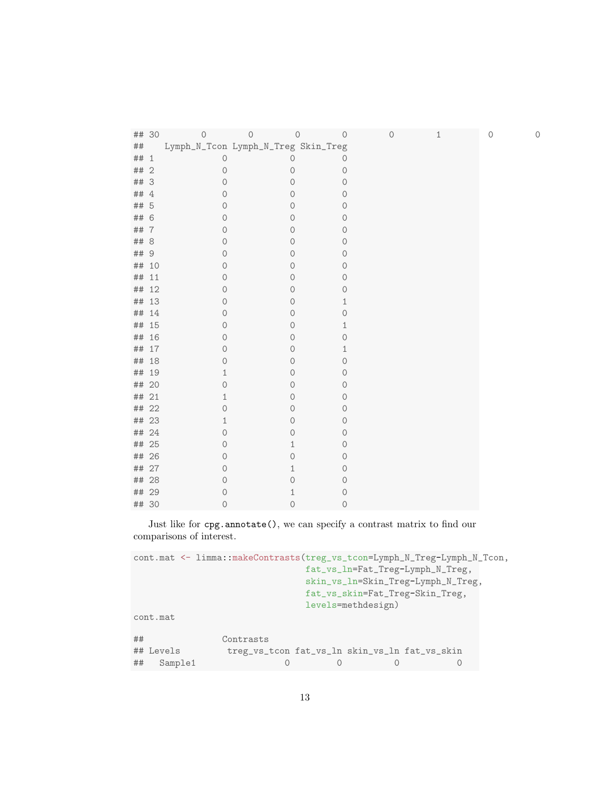|       | ## 30          | $\circ$       | $\circledcirc$                      | 0<br>$\circ$ | $\circ$ | 1 | $\bigcirc$ | 0 |
|-------|----------------|---------------|-------------------------------------|--------------|---------|---|------------|---|
| ##    |                |               | Lymph_N_Tcon Lymph_N_Treg Skin_Treg |              |         |   |            |   |
| ## 1  |                | $\circ$       | $\circ$                             | 0            |         |   |            |   |
| ##    | $\overline{2}$ | 0             | $\mathcal{O}$                       | $\circ$      |         |   |            |   |
| ## 3  |                | 0             | 0                                   | $\circ$      |         |   |            |   |
| ## 4  |                | 0             | 0                                   | 0            |         |   |            |   |
| ##    | - 5            | 0             | 0                                   | $\mathbf{0}$ |         |   |            |   |
| ##    | 6              | $\circ$       | $\circ$                             | 0            |         |   |            |   |
| ## 7  |                | 0             | $\mathbf{0}$                        | 0            |         |   |            |   |
| ##    | 8              | 0             | $\circ$                             | $\circ$      |         |   |            |   |
| ## 9  |                | $\circ$       | $\mathbf 0$                         | 0            |         |   |            |   |
|       | ## 10          | $\mathcal{O}$ | $\mathbf{0}$                        | $\circ$      |         |   |            |   |
| ## 11 |                | 0             | 0                                   | 0            |         |   |            |   |
|       | ## 12          | $\circ$       | 0                                   | 0            |         |   |            |   |
|       | ## 13          | 0             | $\mathbf{0}$                        | 1            |         |   |            |   |
|       | ## 14          | 0             | $\circ$                             | 0            |         |   |            |   |
|       | ## 15          | 0             | 0                                   | 1            |         |   |            |   |
|       | ## 16          | $\circ$       | $\mathbf 0$                         | 0            |         |   |            |   |
|       | ## 17          | 0             | 0                                   | 1            |         |   |            |   |
|       | ## 18          | $\Omega$      | 0                                   | 0            |         |   |            |   |
|       | ## 19          | 1             | $\circ$                             | 0            |         |   |            |   |
|       | ## 20          | 0             | $\mathbf 0$                         | 0            |         |   |            |   |
| ## 21 |                | $\mathbf{1}$  | 0                                   | 0            |         |   |            |   |
|       | ## 22          | 0             | 0                                   | 0            |         |   |            |   |
|       | ## 23          | 1             | $\circ$                             | 0            |         |   |            |   |
|       | ## 24          | $\mathbf 0$   | 0                                   | 0            |         |   |            |   |
|       | ## 25          | 0             | 1                                   | 0            |         |   |            |   |
|       | ## 26          | 0             | 0                                   | 0            |         |   |            |   |
| ##    | 27             | 0             | 1                                   | 0            |         |   |            |   |
| ##    | 28             | 0             | 0                                   | 0            |         |   |            |   |
|       | ## 29          | 0             | 1                                   | 0            |         |   |            |   |
|       | ## 30          | 0             | $\circ$                             | $\circ$      |         |   |            |   |

Just like for cpg.annotate(), we can specify a contrast matrix to find our comparisons of interest.

```
cont.mat <- limma::makeContrasts(treg_vs_tcon=Lymph_N_Treg-Lymph_N_Tcon,
                          fat_vs_ln=Fat_Treg-Lymph_N_Treg,
                          skin_vs_ln=Skin_Treg-Lymph_N_Treg,
                          fat_vs_skin=Fat_Treg-Skin_Treg,
                          levels=methdesign)
cont.mat
## Contrasts
## Levels treg_vs_tcon fat_vs_ln skin_vs_ln fat_vs_skin
## Sample1 0 0 0 0
```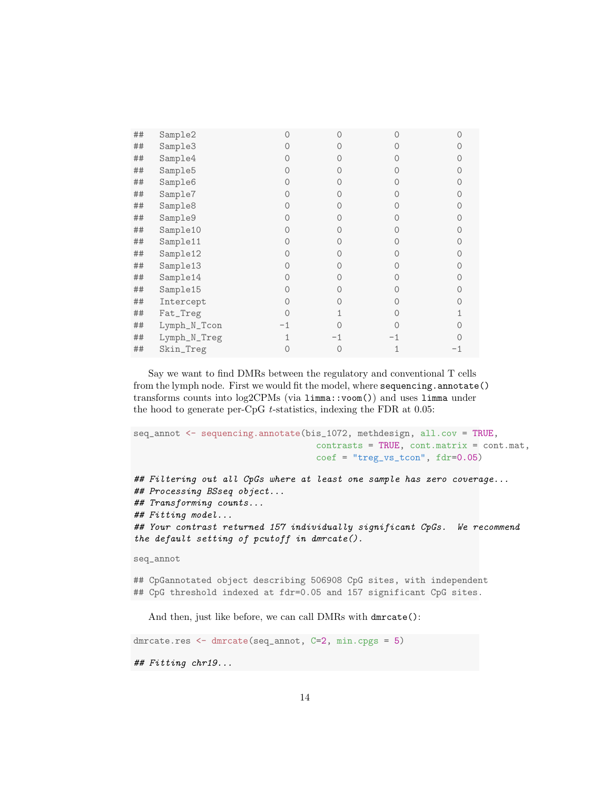| Sample3      |                     |    |  |
|--------------|---------------------|----|--|
| Sample4      |                     |    |  |
| Sample5      |                     |    |  |
| Sample6      |                     |    |  |
| Sample7      |                     |    |  |
| Sample8      |                     |    |  |
| Sample9      |                     |    |  |
| Sample10     |                     |    |  |
| Sample11     |                     |    |  |
| Sample12     |                     |    |  |
| Sample13     |                     |    |  |
|              |                     |    |  |
| Sample15     |                     |    |  |
| Intercept    |                     |    |  |
| Fat_Treg     |                     |    |  |
| Lymph_N_Tcon |                     |    |  |
| Lymph_N_Treg |                     | -1 |  |
| Skin_Treg    |                     |    |  |
|              | Sample2<br>Sample14 |    |  |

Say we want to find DMRs between the regulatory and conventional T cells from the lymph node. First we would fit the model, where sequencing.annotate() transforms counts into log2CPMs (via limma::voom()) and uses limma under the hood to generate per-CpG t-statistics, indexing the FDR at 0.05:

```
seq_annot <- sequencing.annotate(bis_1072, methdesign, all.cov = TRUE,
                                   contrast = TRUE, cont.matrix = cont.mat,coef = "treg_vs_tcon", fdr=0.05)## Filtering out all CpGs where at least one sample has zero coverage...
## Processing BSseq object...
## Transforming counts...
## Fitting model...
## Your contrast returned 157 individually significant CpGs. We recommend
the default setting of pcutoff in dmrcate().
seq_annot
```
## CpGannotated object describing 506908 CpG sites, with independent ## CpG threshold indexed at fdr=0.05 and 157 significant CpG sites.

And then, just like before, we can call DMRs with dmrcate():

dmrcate.res <- dmrcate(seq\_annot, C=2, min.cpgs = 5) ## Fitting chr19...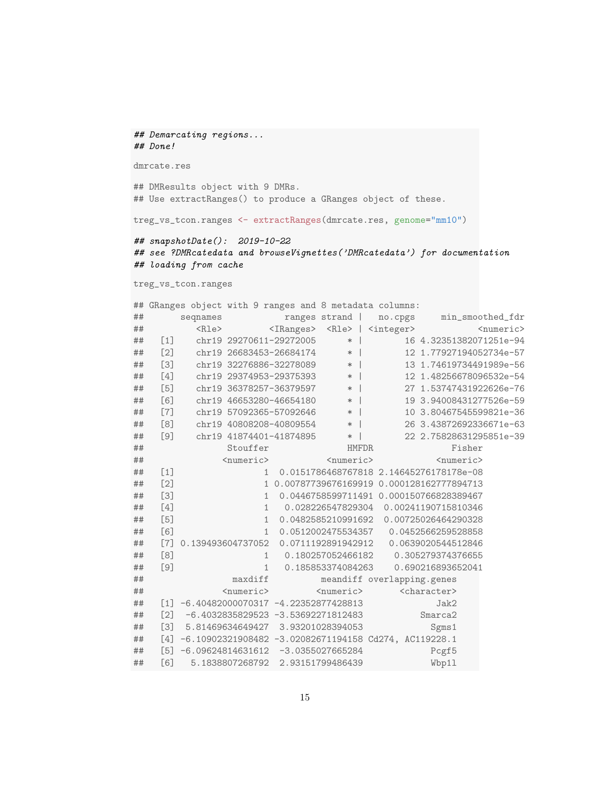## Demarcating regions... ## Done!

dmrcate.res

## DMResults object with 9 DMRs. ## Use extractRanges() to produce a GRanges object of these.

treg\_vs\_tcon.ranges <- extractRanges(dmrcate.res, genome="mm10")

## snapshotDate(): 2019-10-22 ## see ?DMRcatedata and browseVignettes('DMRcatedata') for documentation ## loading from cache

treg\_vs\_tcon.ranges

## GRanges object with 9 ranges and 8 metadata columns: ## seqnames ranges strand | no.cpgs min\_smoothed\_fdr ## <Rle> <IRanges> <Rle> | <integer> <numeric> ## [1] chr19 29270611-29272005 \* | 16 4.32351382071251e-94 ## [2] chr19 26683453-26684174 \* | 12 1.77927194052734e-57 ## [3] chr19 32276886-32278089 \* | 13 1.74619734491989e-56 ## [4] chr19 29374953-29375393 \* | 12 1.48256678096532e-54 ## [5] chr19 36378257-36379597 \* | 27 1.53747431922626e-76 ## [6] chr19 46653280-46654180 \* | 19 3.94008431277526e-59 ## [7] chr19 57092365-57092646 \* | 10 3.80467545599821e-36 ## [8] chr19 40808208-40809554 \* | 26 3.43872692336671e-63 ## [9] chr19 41874401-41874895 \* | 22 2.75828631295851e-39 ## Stouffer HMFDR Fisher ## <numeric> <numeric> <numeric> ## [1] 1 0.0151786468767818 2.14645276178178e-08 ## [2] 1 0.00787739676169919 0.000128162777894713 ## [3] 1 0.0446758599711491 0.000150766828389467 ## [4] 1 0.028226547829304 0.00241190715810346 ## [5] 1 0.0482585210991692 0.00725026464290328 ## [6] 1 0.0512002475534357 0.0452566259528858 ## [7] 0.139493604737052 0.0711192891942912 0.0639020544512846 ## [8] 1 0.180257052466182 0.305279374376655 ## [9] 1 0.185853374084263 0.690216893652041 ## maxdiff meandiff overlapping.genes ## <numeric> <numeric> <character> ## [1] -6.40482000070317 -4.22352877428813 Jak2 ## [2] -6.4032835829523 -3.53692271812483 Smarca2 ## [3] 5.81469634649427 3.93201028394053 Sgms1 ## [4] -6.10902321908482 -3.02082671194158 Cd274, AC119228.1 ## [5] -6.09624814631612 -3.0355027665284 Pcgf5 ## [6] 5.1838807268792 2.93151799486439 Wbp1l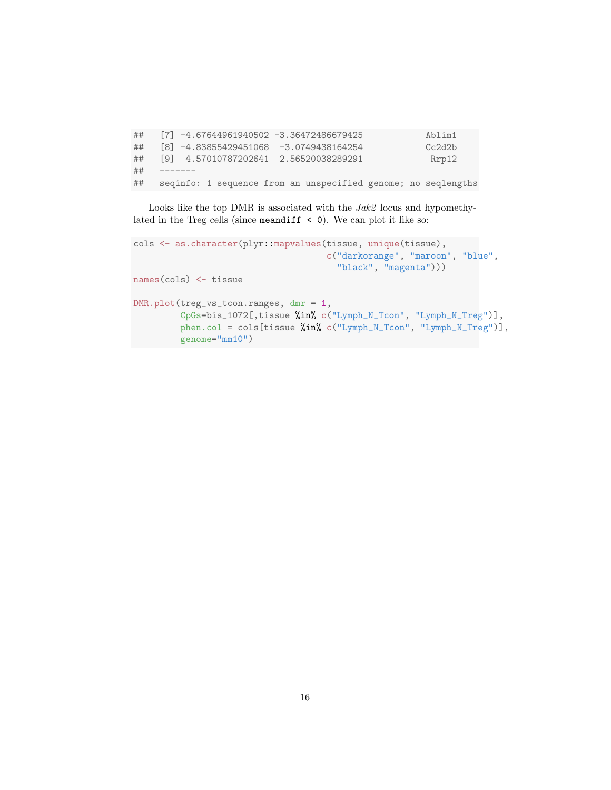## [7] -4.67644961940502 -3.36472486679425 Ablim1 ## [8] -4.83855429451068 -3.0749438164254 Cc2d2b ## [9] 4.57010787202641 2.56520038289291 Rrp12 ## ------- ## seqinfo: 1 sequence from an unspecified genome; no seqlengths

Looks like the top DMR is associated with the  $Jak2$  locus and hypomethylated in the Treg cells (since meandiff  $\leq$  0). We can plot it like so:

```
cols <- as.character(plyr::mapvalues(tissue, unique(tissue),
                                     c("darkorange", "maroon", "blue",
                                       "black", "magenta")))
names(cols) <- tissue
DMR.plot(treg_vs_tcon.ranges, dmr = 1,
         CpGs=bis_1072[,tissue %in% c("Lymph_N_Tcon", "Lymph_N_Treg")],
         phen.col = cols[tissue %in% c("Lymph_N_Tcon", "Lymph_N_Treg")],
         genome="mm10")
```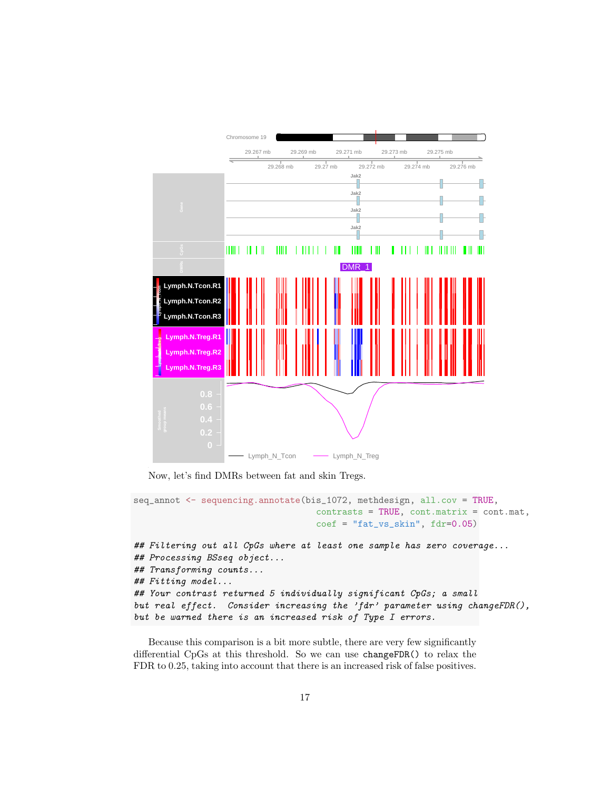

Now, let's find DMRs between fat and skin Tregs.

```
seq_annot <- sequencing.annotate(bis_1072, methdesign, all.cov = TRUE,
                                   contrast = TRUE, cont.matrix = cont.mat,coef = "fat_ys_skin", fdr=0.05)## Filtering out all CpGs where at least one sample has zero coverage...
## Processing BSseq object...
## Transforming counts...
## Fitting model...
## Your contrast returned 5 individually significant CpGs; a small
but real effect. Consider increasing the 'fdr' parameter using changeFDR(),
but be warned there is an increased risk of Type I errors.
```
Because this comparison is a bit more subtle, there are very few significantly differential CpGs at this threshold. So we can use changeFDR() to relax the FDR to 0.25, taking into account that there is an increased risk of false positives.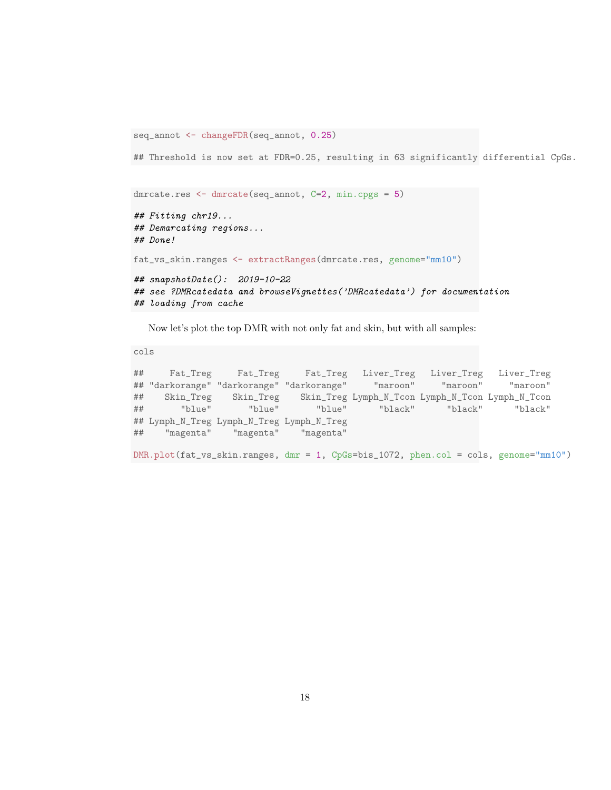```
seq_annot <- changeFDR(seq_annot, 0.25)
```
## Threshold is now set at FDR=0.25, resulting in 63 significantly differential CpGs.

```
dmrcate.res <- dmrcate(seq_annot, C=2, min.cpgs = 5)
```

```
## Fitting chr19...
## Demarcating regions...
## Done!
```
fat\_vs\_skin.ranges <- extractRanges(dmrcate.res, genome="mm10")

```
## snapshotDate(): 2019-10-22
## see ?DMRcatedata and browseVignettes('DMRcatedata') for documentation
## loading from cache
```
Now let's plot the top DMR with not only fat and skin, but with all samples:

cols

## Fat\_Treg Fat\_Treg Fat\_Treg Liver\_Treg Liver\_Treg Liver\_Treg ## "darkorange" "darkorange" "darkorange" "maroon" "maroon" "maroon" ## Skin\_Treg Skin\_Treg Skin\_Treg Lymph\_N\_Tcon Lymph\_N\_Tcon Lymph\_N\_Tcon ## "blue" "blue" "blue" "black" "black" "black" ## Lymph\_N\_Treg Lymph\_N\_Treg Lymph\_N\_Treg ## "magenta" "magenta" "magenta" DMR.plot(fat\_vs\_skin.ranges, dmr = 1, CpGs=bis\_1072, phen.col = cols, genome="mm10")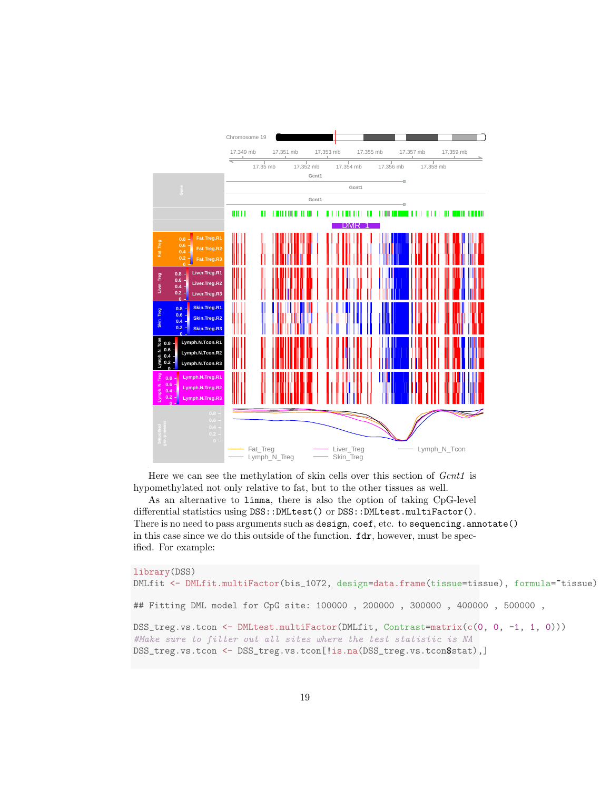

Here we can see the methylation of skin cells over this section of *Gcnt1* is hypomethylated not only relative to fat, but to the other tissues as well.

As an alternative to limma, there is also the option of taking CpG-level differential statistics using DSS::DMLtest() or DSS::DMLtest.multiFactor(). There is no need to pass arguments such as design, coef, etc. to sequencing.annotate() in this case since we do this outside of the function. fdr, however, must be specified. For example:

```
library(DSS)
DMLfit <- DMLfit.multiFactor(bis_1072, design=data.frame(tissue=tissue), formula=~tissue)
## Fitting DML model for CpG site: 100000 , 200000 , 300000 , 400000 , 500000 ,
DSS_treg.vs.tcon <- DMLtest.multiFactor(DMLfit, Contrast=matrix(c(0, 0, -1, 1, 0)))
#Make sure to filter out all sites where the test statistic is NA
DSS_treg.vs.tcon <- DSS_treg.vs.tcon[!is.na(DSS_treg.vs.tcon$stat),]
```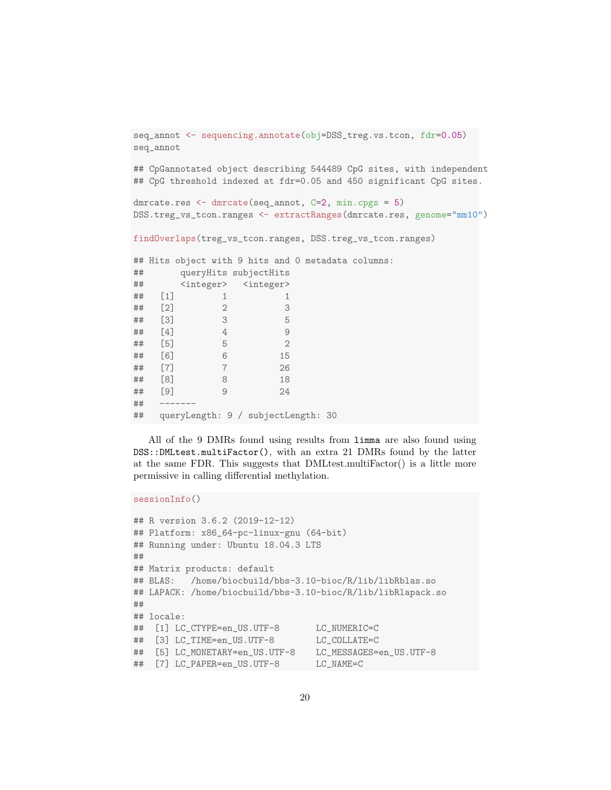```
seq_annot <- sequencing.annotate(obj=DSS_treg.vs.tcon, fdr=0.05)
seq_annot
## CpGannotated object describing 544489 CpG sites, with independent
## CpG threshold indexed at fdr=0.05 and 450 significant CpG sites.
dmrcate.res <- dmrcate(seq_annot, C=2, min.cpgs = 5)
DSS.treg_vs_tcon.ranges <- extractRanges(dmrcate.res, genome="mm10")
findOverlaps(treg_vs_tcon.ranges, DSS.treg_vs_tcon.ranges)
## Hits object with 9 hits and 0 metadata columns:
## queryHits subjectHits
## <integer> <integer>
## [1] 1 1
## [2] 2 3
## [3] 3 5
## [4] 4 9
## [5] 5 2
## [6] 6 15
## [7] 7 26
## [8] 8 18
## [9] 9 24
## -------
## queryLength: 9 / subjectLength: 30
```
All of the 9 DMRs found using results from limma are also found using DSS::DMLtest.multiFactor(), with an extra 21 DMRs found by the latter at the same FDR. This suggests that DMLtest.multiFactor() is a little more permissive in calling differential methylation.

```
sessionInfo()
```

```
## R version 3.6.2 (2019-12-12)
## Platform: x86_64-pc-linux-gnu (64-bit)
## Running under: Ubuntu 18.04.3 LTS
##
## Matrix products: default
## BLAS: /home/biocbuild/bbs-3.10-bioc/R/lib/libRblas.so
## LAPACK: /home/biocbuild/bbs-3.10-bioc/R/lib/libRlapack.so
##
## locale:
## [1] LC_CTYPE=en_US.UTF-8 LC_NUMERIC=C
## [3] LC_TIME=en_US.UTF-8 LC_COLLATE=C
## [5] LC_MONETARY=en_US.UTF-8 LC_MESSAGES=en_US.UTF-8
## [7] LC_PAPER=en_US.UTF-8 LC_NAME=C
```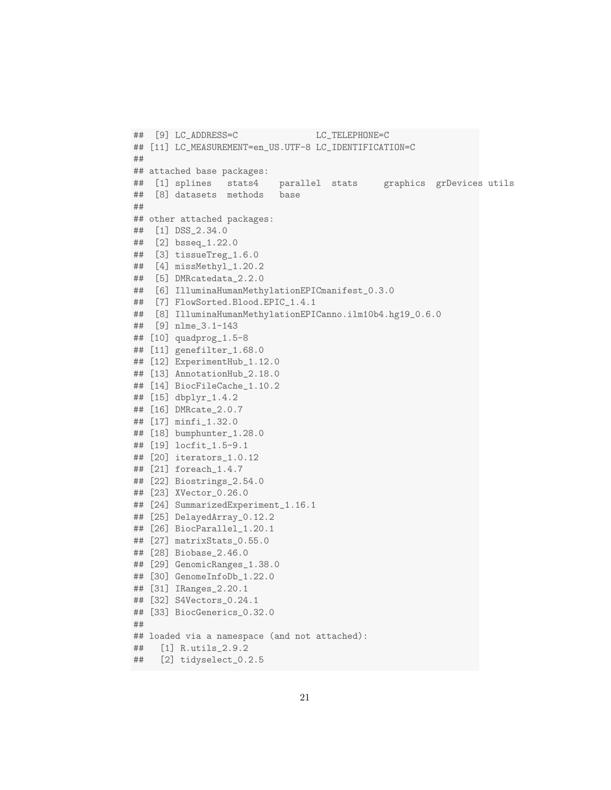```
## [9] LC_ADDRESS=C LC_TELEPHONE=C
## [11] LC_MEASUREMENT=en_US.UTF-8 LC_IDENTIFICATION=C
##
## attached base packages:
## [1] splines stats4 parallel stats graphics grDevices utils
## [8] datasets methods base
##
## other attached packages:
## [1] DSS_2.34.0
## [2] bsseq_1.22.0
## [3] tissueTreg_1.6.0
## [4] missMethyl_1.20.2
## [5] DMRcatedata_2.2.0
## [6] IlluminaHumanMethylationEPICmanifest_0.3.0
## [7] FlowSorted.Blood.EPIC_1.4.1
## [8] IlluminaHumanMethylationEPICanno.ilm10b4.hg19_0.6.0
## [9] nlme_3.1-143
## [10] quadprog_1.5-8
## [11] genefilter_1.68.0
## [12] ExperimentHub_1.12.0
## [13] AnnotationHub_2.18.0
## [14] BiocFileCache_1.10.2
## [15] dbplyr_1.4.2
## [16] DMRcate_2.0.7
## [17] minfi_1.32.0
## [18] bumphunter_1.28.0
## [19] locfit_1.5-9.1
## [20] iterators_1.0.12
## [21] foreach_1.4.7
## [22] Biostrings_2.54.0
## [23] XVector_0.26.0
## [24] SummarizedExperiment_1.16.1
## [25] DelayedArray_0.12.2
## [26] BiocParallel_1.20.1
## [27] matrixStats_0.55.0
## [28] Biobase_2.46.0
## [29] GenomicRanges_1.38.0
## [30] GenomeInfoDb_1.22.0
## [31] IRanges_2.20.1
## [32] S4Vectors_0.24.1
## [33] BiocGenerics_0.32.0
##
## loaded via a namespace (and not attached):
## [1] R.utils_2.9.2
## [2] tidyselect_0.2.5
```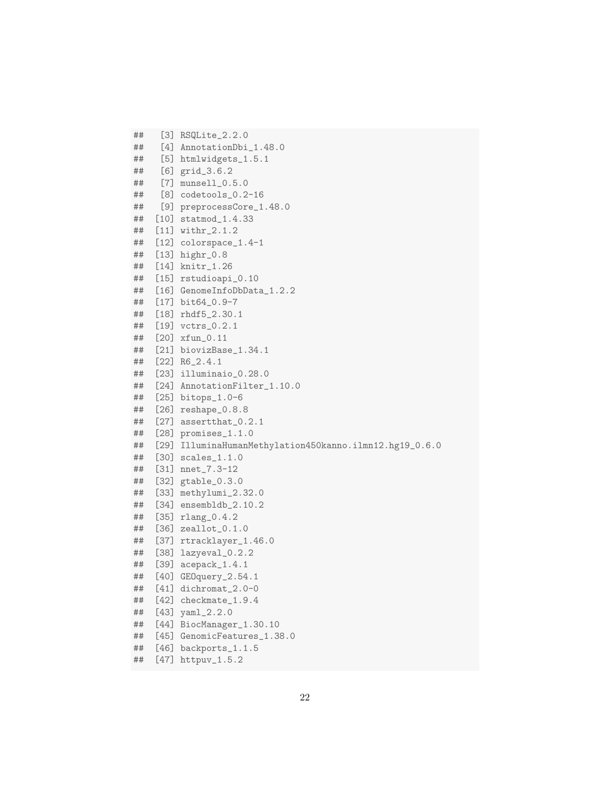```
## [3] RSQLite_2.2.0
## [4] AnnotationDbi_1.48.0
## [5] htmlwidgets_1.5.1
## [6] grid_3.6.2
## [7] munsell_0.5.0
## [8] codetools_0.2-16
## [9] preprocessCore_1.48.0
## [10] statmod_1.4.33
## [11] withr_2.1.2
## [12] colorspace_1.4-1
## [13] highr_0.8
## [14] knitr_1.26
## [15] rstudioapi_0.10
## [16] GenomeInfoDbData_1.2.2
## [17] bit64_0.9-7
## [18] rhdf5_2.30.1
## [19] vctrs_0.2.1
## [20] xfun_0.11
## [21] biovizBase_1.34.1
## [22] R6_2.4.1
## [23] illuminaio_0.28.0
## [24] AnnotationFilter_1.10.0
## [25] bitops_1.0-6
## [26] reshape_0.8.8
## [27] assertthat_0.2.1
## [28] promises_1.1.0
## [29] IlluminaHumanMethylation450kanno.ilmn12.hg19_0.6.0
## [30] scales_1.1.0
## [31] nnet_7.3-12
## [32] gtable_0.3.0
## [33] methylumi_2.32.0
## [34] ensembldb_2.10.2
## [35] rlang_0.4.2
## [36] zeallot_0.1.0
## [37] rtracklayer_1.46.0
## [38] lazyeval_0.2.2
   [39] acepack_1.4.1
## [40] GEOquery_2.54.1
## [41] dichromat_2.0-0
## [42] checkmate_1.9.4
## [43] yaml_2.2.0
## [44] BiocManager_1.30.10
## [45] GenomicFeatures_1.38.0
## [46] backports_1.1.5
## [47] httpuv_1.5.2
```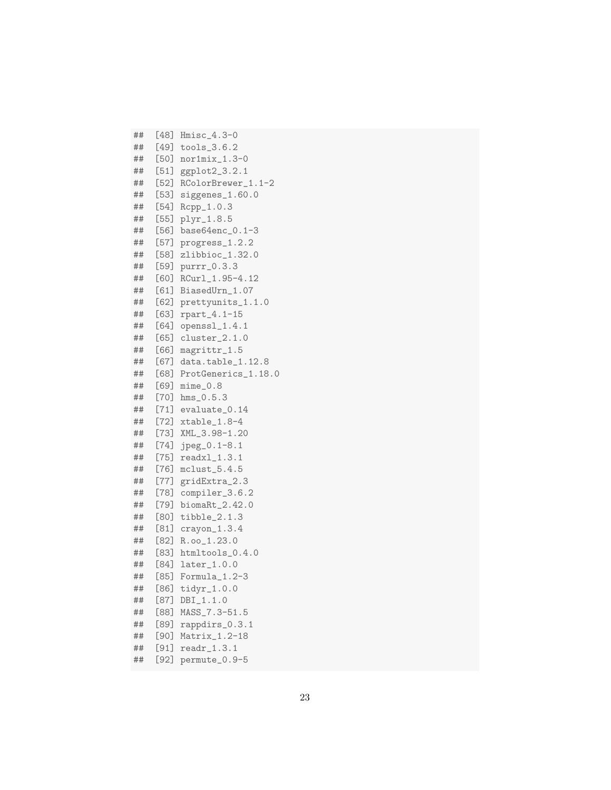## [48] Hmisc\_4.3-0 ## [49] tools\_3.6.2 ## [50] nor1mix\_1.3-0 ## [51] ggplot2\_3.2.1 ## [52] RColorBrewer\_1.1-2 ## [53] siggenes\_1.60.0 ## [54] Rcpp\_1.0.3 ## [55] plyr\_1.8.5 ## [56] base64enc\_0.1-3 ## [57] progress\_1.2.2 ## [58] zlibbioc\_1.32.0 ## [59] purrr\_0.3.3 ## [60] RCurl\_1.95-4.12 ## [61] BiasedUrn\_1.07 ## [62] prettyunits\_1.1.0 ## [63] rpart\_4.1-15 ## [64] openssl\_1.4.1 ## [65] cluster\_2.1.0 ## [66] magrittr\_1.5 ## [67] data.table\_1.12.8 ## [68] ProtGenerics\_1.18.0 [69] mime\_0.8 ## [70] hms\_0.5.3 ## [71] evaluate\_0.14 ## [72] xtable\_1.8-4<br>## [73] XML\_3.98-1.20 [73] XML\_3.98-1.20 ## [74] jpeg\_0.1-8.1 ## [75] readxl\_1.3.1 ## [76] mclust\_5.4.5 ## [77] gridExtra\_2.3 ## [78] compiler\_3.6.2 ## [79] biomaRt\_2.42.0 ## [80] tibble\_2.1.3 ## [81] crayon\_1.3.4 ## [82] R.oo\_1.23.0 ## [83] htmltools\_0.4.0 ## [84] later\_1.0.0 ## [85] Formula\_1.2-3 ## [86] tidyr\_1.0.0 ## [87] DBI\_1.1.0 ## [88] MASS\_7.3-51.5 ## [89] rappdirs\_0.3.1 [90] Matrix\_1.2-18 ## [91] readr\_1.3.1 ## [92] permute\_0.9-5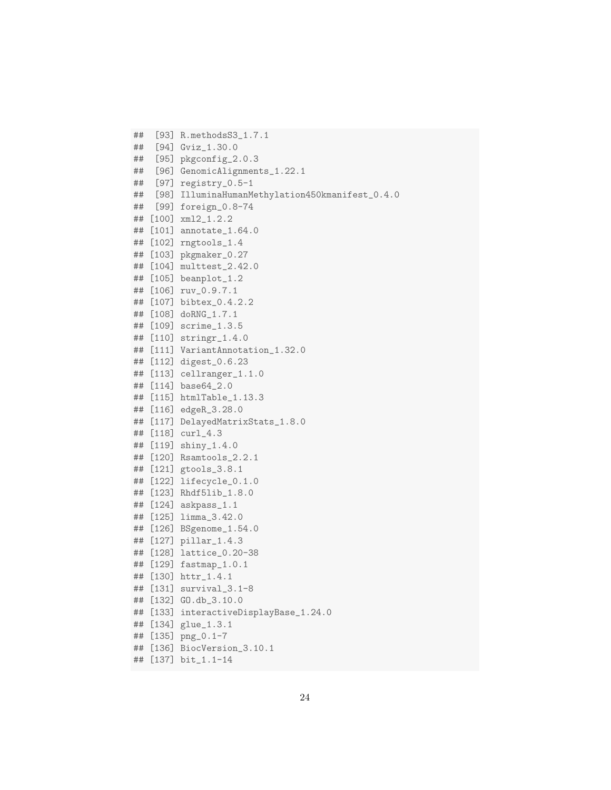```
## [93] R.methodsS3_1.7.1
## [94] Gviz_1.30.0
## [95] pkgconfig_2.0.3
## [96] GenomicAlignments_1.22.1
## [97] registry_0.5-1
## [98] IlluminaHumanMethylation450kmanifest_0.4.0
## [99] foreign_0.8-74
## [100] xml2_1.2.2
## [101] annotate_1.64.0
## [102] rngtools_1.4
## [103] pkgmaker_0.27
## [104] multtest_2.42.0
## [105] beanplot_1.2
## [106] ruv_0.9.7.1
## [107] bibtex_0.4.2.2
## [108] doRNG_1.7.1
## [109] scrime_1.3.5
## [110] stringr_1.4.0
## [111] VariantAnnotation_1.32.0
## [112] digest_0.6.23
## [113] cellranger_1.1.0
## [114] base64_2.0
## [115] htmlTable_1.13.3
## [116] edgeR_3.28.0
## [117] DelayedMatrixStats_1.8.0
## [118] curl_4.3
## [119] shiny_1.4.0
## [120] Rsamtools_2.2.1
## [121] gtools_3.8.1
## [122] lifecycle_0.1.0
## [123] Rhdf5lib_1.8.0
## [124] askpass_1.1
## [125] limma_3.42.0
## [126] BSgenome_1.54.0
## [127] pillar_1.4.3
## [128] lattice_0.20-38
## [129] fastmap_1.0.1
## [130] httr_1.4.1
## [131] survival_3.1-8
## [132] GO.db_3.10.0
## [133] interactiveDisplayBase_1.24.0
## [134] glue_1.3.1
## [135] png_0.1-7
## [136] BiocVersion_3.10.1
```

```
## [137] bit_1.1-14
```